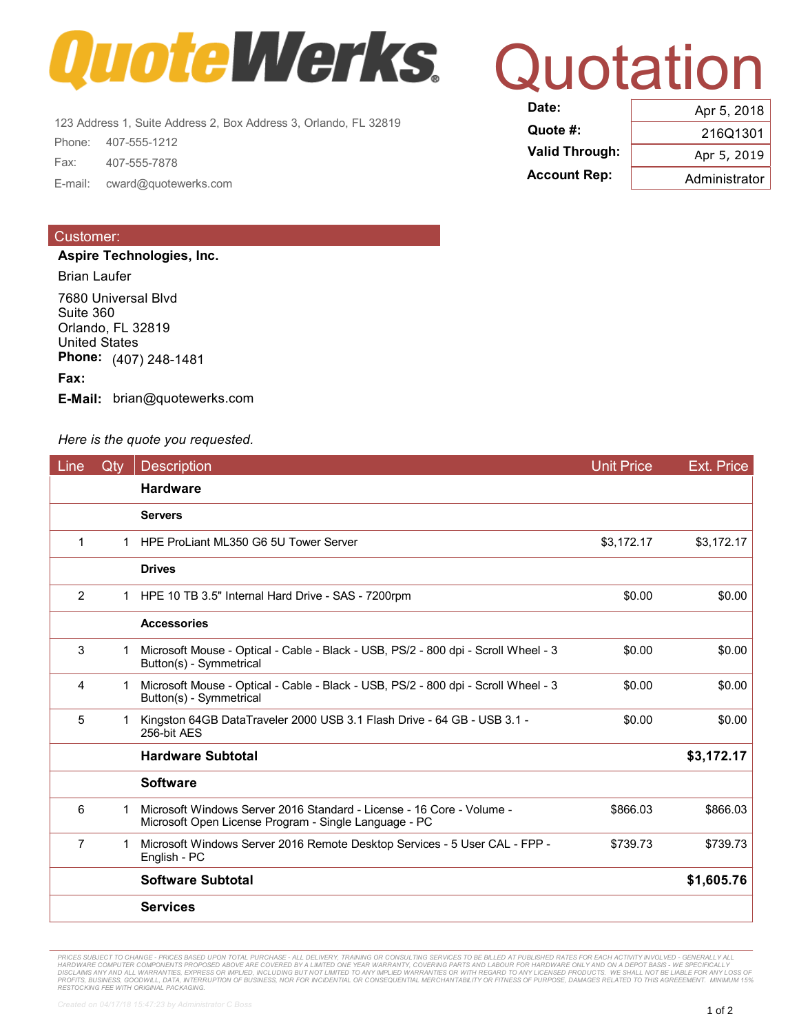

123 Address 1, Suite Address 2, Box Address 3, Orlando, FL 32819<br>Phone: 407-555-1212 Fax: 407-555-7878 **Account Rep:** Administrator E-mail: cward@quotewerks.com

## Customer:

**Aspire Technologies, Inc.**

Brian Laufer

7680 Universal Blvd Suite 360 Orlando, FL 32819 United States **Phone:** (407) 248-1481

## **Fax:**

**E-Mail:** brian@quotewerks.com

## *Here is the quote you requested.*

| Line           | Qtv | <b>Description</b>                                                                                                             | <b>Unit Price</b> | <b>Ext. Price</b> |
|----------------|-----|--------------------------------------------------------------------------------------------------------------------------------|-------------------|-------------------|
|                |     | <b>Hardware</b>                                                                                                                |                   |                   |
|                |     | <b>Servers</b>                                                                                                                 |                   |                   |
| 1              | 1   | HPE ProLiant ML350 G6 5U Tower Server                                                                                          | \$3,172.17        | \$3,172.17        |
|                |     | <b>Drives</b>                                                                                                                  |                   |                   |
| 2              |     | 1 HPE 10 TB 3.5" Internal Hard Drive - SAS - 7200rpm                                                                           | \$0.00            | \$0.00            |
|                |     | <b>Accessories</b>                                                                                                             |                   |                   |
| 3              | 1   | Microsoft Mouse - Optical - Cable - Black - USB, PS/2 - 800 dpi - Scroll Wheel - 3<br>Button(s) - Symmetrical                  | \$0.00            | \$0.00            |
| 4              |     | Microsoft Mouse - Optical - Cable - Black - USB, PS/2 - 800 dpi - Scroll Wheel - 3<br>Button(s) - Symmetrical                  | \$0.00            | \$0.00            |
| 5              |     | Kingston 64GB DataTraveler 2000 USB 3.1 Flash Drive - 64 GB - USB 3.1 -<br>256-bit AES                                         | \$0.00            | \$0.00            |
|                |     | <b>Hardware Subtotal</b>                                                                                                       |                   | \$3,172.17        |
|                |     | <b>Software</b>                                                                                                                |                   |                   |
| 6              |     | Microsoft Windows Server 2016 Standard - License - 16 Core - Volume -<br>Microsoft Open License Program - Single Language - PC | \$866.03          | \$866.03          |
| $\overline{7}$ |     | Microsoft Windows Server 2016 Remote Desktop Services - 5 User CAL - FPP -<br>English - PC                                     | \$739.73          | \$739.73          |
|                |     | <b>Software Subtotal</b>                                                                                                       |                   | \$1,605.76        |
|                |     | <b>Services</b>                                                                                                                |                   |                   |

PRICES SUBJECT TO CHANGE - PRICES BASED UPON TOTAL PURCHASE - ALL DELIVERY, TRAINING OR CONSULTING SERVICES TO BE BILLED AT PUBLISHED RATES FOR EACH ACTIVITY INVOLVED - GENERALLY ALL<br>HARDWARE COMPUTER COMPONENTS PROPOSED A *RESTOCKING FEE WITH ORIGINAL PACKAGING.*

## Quotation **DATE:** 2018

| ------                | ADI 0, ZU 18  |  |
|-----------------------|---------------|--|
| Quote #:              | 216Q1301      |  |
| <b>Valid Through:</b> | Apr 5, 2019   |  |
| <b>Account Rep:</b>   | Administrator |  |